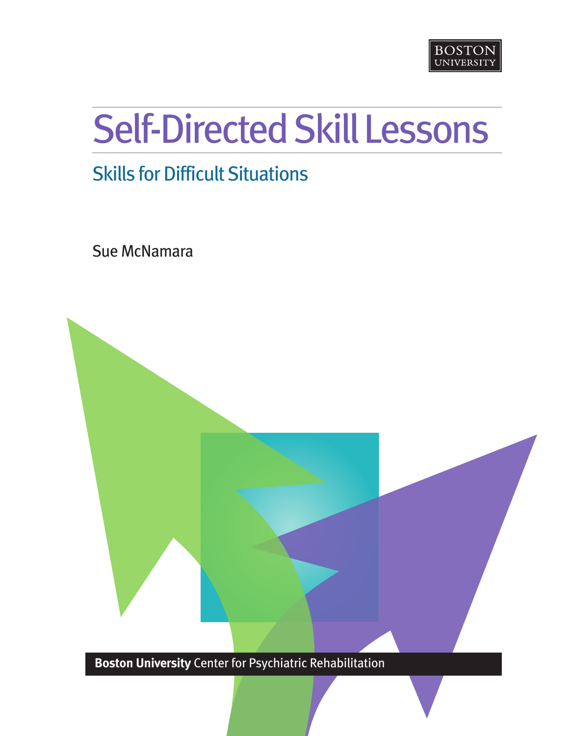

# Self-Directed Skill Lessons

### **Skills for Difficult Situations**

Sue McNamara



**Boston University** Center for Psychiatric Rehabilitation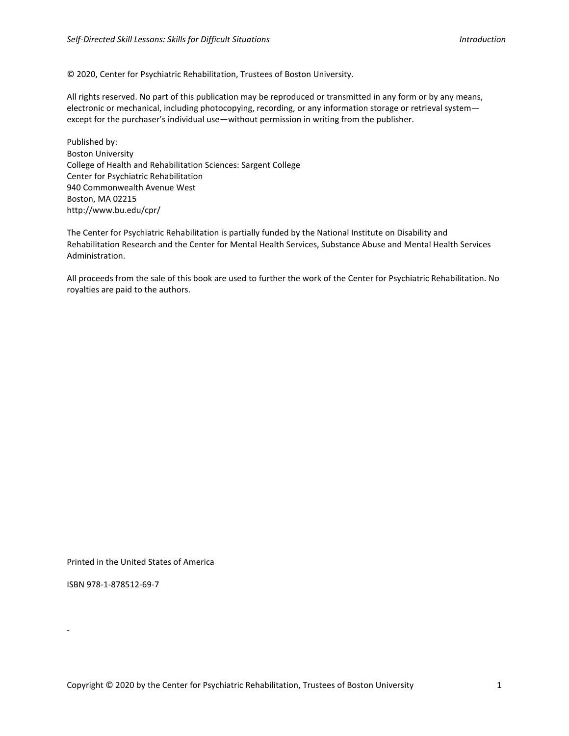#### © 2020, Center for Psychiatric Rehabilitation, Trustees of Boston University.

All rights reserved. No part of this publication may be reproduced or transmitted in any form or by any means, electronic or mechanical, including photocopying, recording, or any information storage or retrieval system except for the purchaser's individual use—without permission in writing from the publisher.

Published by: Boston University College of Health and Rehabilitation Sciences: Sargent College Center for Psychiatric Rehabilitation 940 Commonwealth Avenue West Boston, MA 02215 http://www.bu.edu/cpr/

The Center for Psychiatric Rehabilitation is partially funded by the National Institute on Disability and Rehabilitation Research and the Center for Mental Health Services, Substance Abuse and Mental Health Services Administration.

All proceeds from the sale of this book are used to further the work of the Center for Psychiatric Rehabilitation. No royalties are paid to the authors.

Printed in the United States of America

ISBN 978-1-878512-69-7

‐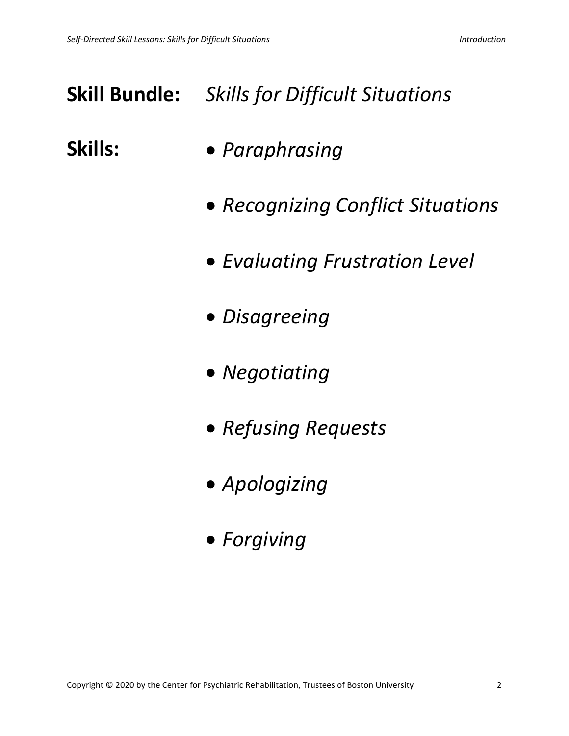### **Skill Bundle:** *Skills for Difficult Situations*

- **Skills:** *Paraphrasing*
	- *Recognizing Conflict Situations*
	- *Evaluating Frustration Level*
	- *Disagreeing*
	- *Negotiating*
	- *Refusing Requests*
	- *Apologizing*
	- *Forgiving*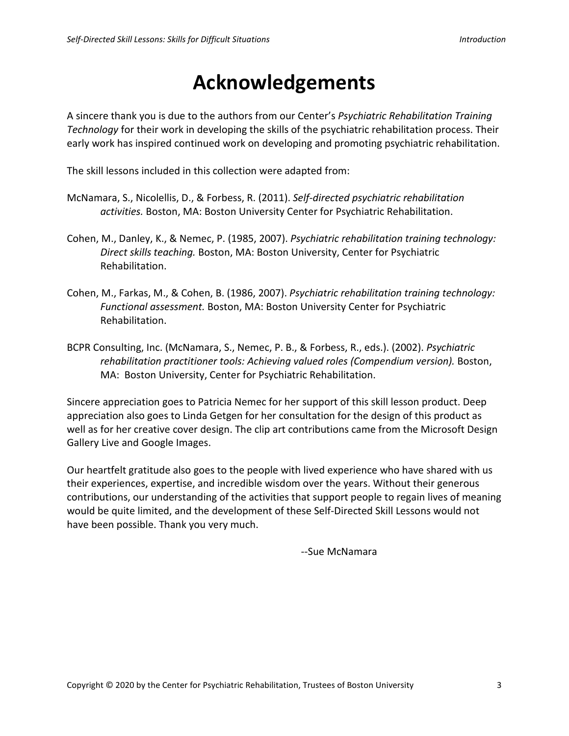### **Acknowledgements**

A sincere thank you is due to the authors from our Center's *Psychiatric Rehabilitation Training Technology* for their work in developing the skills of the psychiatric rehabilitation process. Their early work has inspired continued work on developing and promoting psychiatric rehabilitation.

The skill lessons included in this collection were adapted from:

- McNamara, S., Nicolellis, D., & Forbess, R. (2011). *Self-directed psychiatric rehabilitation activities.* Boston, MA: Boston University Center for Psychiatric Rehabilitation.
- Cohen, M., Danley, K., & Nemec, P. (1985, 2007). *Psychiatric rehabilitation training technology: Direct skills teaching.* Boston, MA: Boston University, Center for Psychiatric Rehabilitation.
- Cohen, M., Farkas, M., & Cohen, B. (1986, 2007). *Psychiatric rehabilitation training technology: Functional assessment.* Boston, MA: Boston University Center for Psychiatric Rehabilitation.
- BCPR Consulting, Inc. (McNamara, S., Nemec, P. B., & Forbess, R., eds.). (2002). *Psychiatric rehabilitation practitioner tools: Achieving valued roles (Compendium version).* Boston, MA: Boston University, Center for Psychiatric Rehabilitation.

Sincere appreciation goes to Patricia Nemec for her support of this skill lesson product. Deep appreciation also goes to Linda Getgen for her consultation for the design of this product as well as for her creative cover design. The clip art contributions came from the Microsoft Design Gallery Live and Google Images.

Our heartfelt gratitude also goes to the people with lived experience who have shared with us their experiences, expertise, and incredible wisdom over the years. Without their generous contributions, our understanding of the activities that support people to regain lives of meaning would be quite limited, and the development of these Self-Directed Skill Lessons would not have been possible. Thank you very much.

--Sue McNamara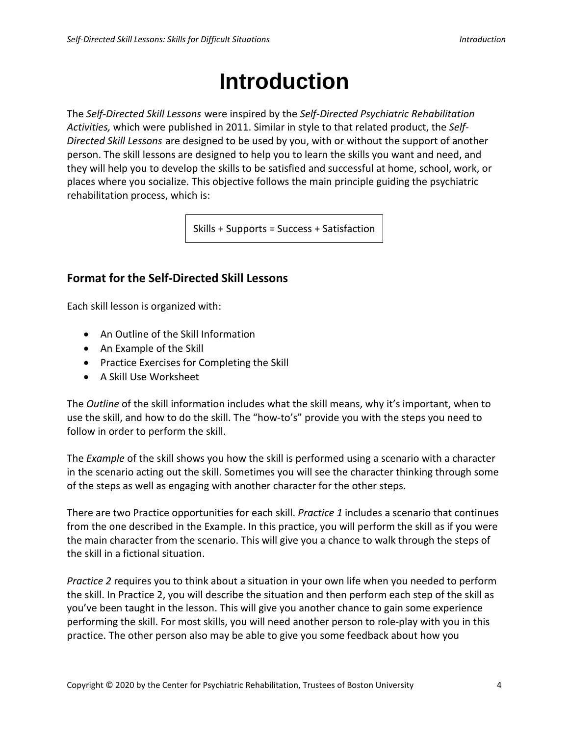### **Introduction**

The *Self-Directed Skill Lessons* were inspired by the *Self-Directed Psychiatric Rehabilitation Activities,* which were published in 2011. Similar in style to that related product, the *Self-Directed Skill Lessons* are designed to be used by you, with or without the support of another person. The skill lessons are designed to help you to learn the skills you want and need, and they will help you to develop the skills to be satisfied and successful at home, school, work, or places where you socialize. This objective follows the main principle guiding the psychiatric rehabilitation process, which is:

Skills + Supports = Success + Satisfaction

#### **Format for the Self-Directed Skill Lessons**

Each skill lesson is organized with:

- An Outline of the Skill Information
- An Example of the Skill
- Practice Exercises for Completing the Skill
- A Skill Use Worksheet

The *Outline* of the skill information includes what the skill means, why it's important, when to use the skill, and how to do the skill. The "how-to's" provide you with the steps you need to follow in order to perform the skill.

The *Example* of the skill shows you how the skill is performed using a scenario with a character in the scenario acting out the skill. Sometimes you will see the character thinking through some of the steps as well as engaging with another character for the other steps.

There are two Practice opportunities for each skill. *Practice 1* includes a scenario that continues from the one described in the Example. In this practice, you will perform the skill as if you were the main character from the scenario. This will give you a chance to walk through the steps of the skill in a fictional situation.

*Practice 2* requires you to think about a situation in your own life when you needed to perform the skill. In Practice 2, you will describe the situation and then perform each step of the skill as you've been taught in the lesson. This will give you another chance to gain some experience performing the skill. For most skills, you will need another person to role-play with you in this practice. The other person also may be able to give you some feedback about how you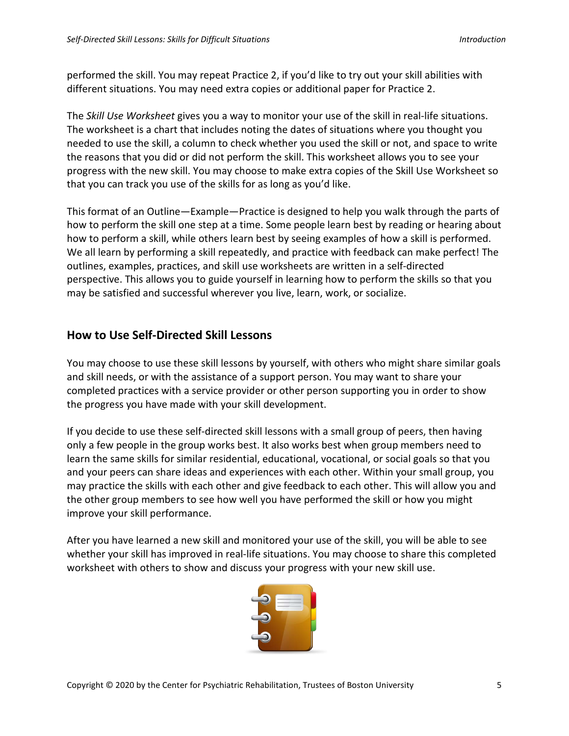performed the skill. You may repeat Practice 2, if you'd like to try out your skill abilities with different situations. You may need extra copies or additional paper for Practice 2.

The *Skill Use Worksheet* gives you a way to monitor your use of the skill in real-life situations. The worksheet is a chart that includes noting the dates of situations where you thought you needed to use the skill, a column to check whether you used the skill or not, and space to write the reasons that you did or did not perform the skill. This worksheet allows you to see your progress with the new skill. You may choose to make extra copies of the Skill Use Worksheet so that you can track you use of the skills for as long as you'd like.

This format of an Outline—Example—Practice is designed to help you walk through the parts of how to perform the skill one step at a time. Some people learn best by reading or hearing about how to perform a skill, while others learn best by seeing examples of how a skill is performed. We all learn by performing a skill repeatedly, and practice with feedback can make perfect! The outlines, examples, practices, and skill use worksheets are written in a self-directed perspective. This allows you to guide yourself in learning how to perform the skills so that you may be satisfied and successful wherever you live, learn, work, or socialize.

#### **How to Use Self-Directed Skill Lessons**

You may choose to use these skill lessons by yourself, with others who might share similar goals and skill needs, or with the assistance of a support person. You may want to share your completed practices with a service provider or other person supporting you in order to show the progress you have made with your skill development.

If you decide to use these self-directed skill lessons with a small group of peers, then having only a few people in the group works best. It also works best when group members need to learn the same skills for similar residential, educational, vocational, or social goals so that you and your peers can share ideas and experiences with each other. Within your small group, you may practice the skills with each other and give feedback to each other. This will allow you and the other group members to see how well you have performed the skill or how you might improve your skill performance.

After you have learned a new skill and monitored your use of the skill, you will be able to see whether your skill has improved in real-life situations. You may choose to share this completed worksheet with others to show and discuss your progress with your new skill use.

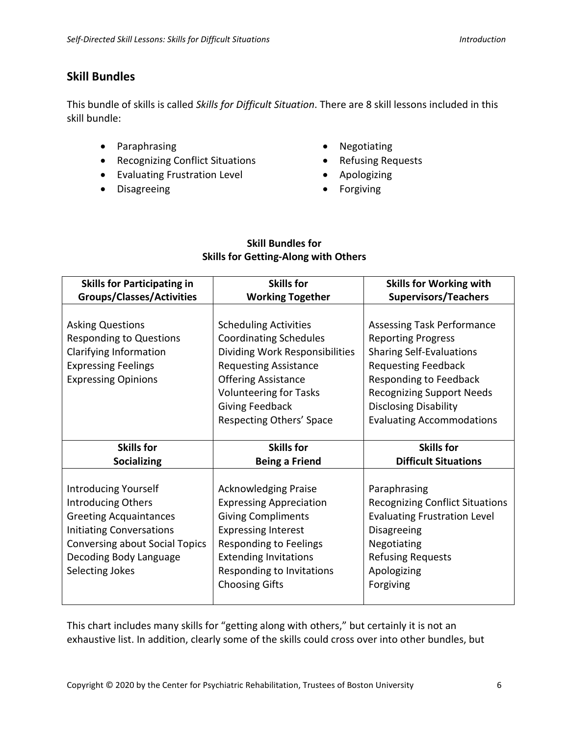#### **Skill Bundles**

This bundle of skills is called *Skills for Difficult Situation*. There are 8 skill lessons included in this skill bundle:

- Paraphrasing
- Recognizing Conflict Situations
- Evaluating Frustration Level
- Disagreeing
- Negotiating
- Refusing Requests
- Apologizing
- Forgiving

#### **Skill Bundles for Skills for Getting-Along with Others**

| <b>Skills for Participating in</b>    | <b>Skills for</b>              | <b>Skills for Working with</b>         |
|---------------------------------------|--------------------------------|----------------------------------------|
| <b>Groups/Classes/Activities</b>      | <b>Working Together</b>        | <b>Supervisors/Teachers</b>            |
|                                       |                                |                                        |
| <b>Asking Questions</b>               | <b>Scheduling Activities</b>   | <b>Assessing Task Performance</b>      |
| <b>Responding to Questions</b>        | <b>Coordinating Schedules</b>  | <b>Reporting Progress</b>              |
| Clarifying Information                | Dividing Work Responsibilities | <b>Sharing Self-Evaluations</b>        |
| <b>Expressing Feelings</b>            | <b>Requesting Assistance</b>   | <b>Requesting Feedback</b>             |
| <b>Expressing Opinions</b>            | <b>Offering Assistance</b>     | Responding to Feedback                 |
|                                       | <b>Volunteering for Tasks</b>  | <b>Recognizing Support Needs</b>       |
|                                       | <b>Giving Feedback</b>         | <b>Disclosing Disability</b>           |
|                                       | Respecting Others' Space       | <b>Evaluating Accommodations</b>       |
|                                       |                                |                                        |
|                                       |                                |                                        |
| <b>Skills for</b>                     | <b>Skills for</b>              | <b>Skills for</b>                      |
| <b>Socializing</b>                    | <b>Being a Friend</b>          | <b>Difficult Situations</b>            |
|                                       |                                |                                        |
| <b>Introducing Yourself</b>           | <b>Acknowledging Praise</b>    | Paraphrasing                           |
| Introducing Others                    | <b>Expressing Appreciation</b> | <b>Recognizing Conflict Situations</b> |
| <b>Greeting Acquaintances</b>         | <b>Giving Compliments</b>      | <b>Evaluating Frustration Level</b>    |
| <b>Initiating Conversations</b>       | <b>Expressing Interest</b>     | Disagreeing                            |
| <b>Conversing about Social Topics</b> | <b>Responding to Feelings</b>  | Negotiating                            |
| Decoding Body Language                | <b>Extending Invitations</b>   | <b>Refusing Requests</b>               |
| Selecting Jokes                       | Responding to Invitations      | Apologizing                            |
|                                       | <b>Choosing Gifts</b>          | Forgiving                              |

This chart includes many skills for "getting along with others," but certainly it is not an exhaustive list. In addition, clearly some of the skills could cross over into other bundles, but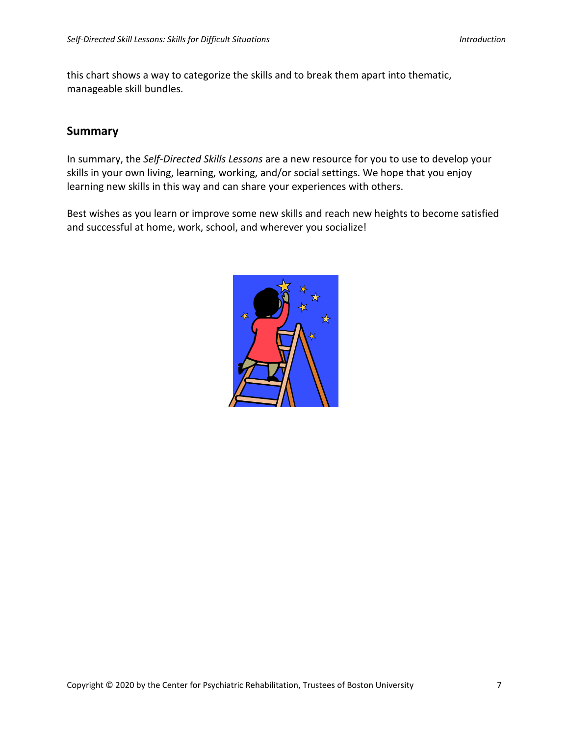this chart shows a way to categorize the skills and to break them apart into thematic, manageable skill bundles.

#### **Summary**

In summary, the *Self-Directed Skills Lessons* are a new resource for you to use to develop your skills in your own living, learning, working, and/or social settings. We hope that you enjoy learning new skills in this way and can share your experiences with others.

Best wishes as you learn or improve some new skills and reach new heights to become satisfied and successful at home, work, school, and wherever you socialize!

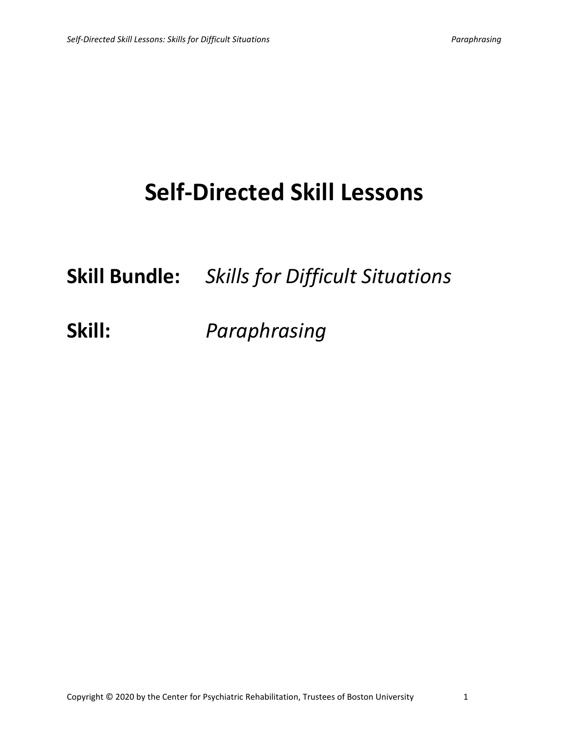## **Self-Directed Skill Lessons**

**Skill Bundle:** *Skills for Difficult Situations*

**Skill:** *Paraphrasing*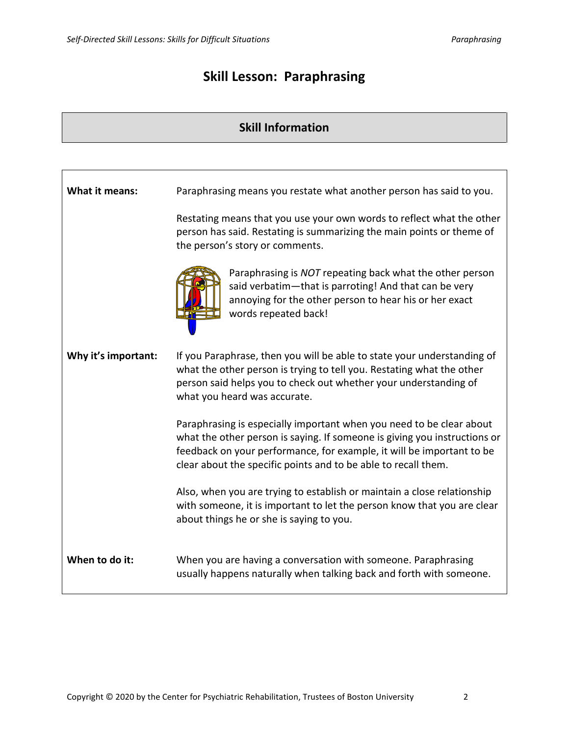### **Skill Lesson: Paraphrasing**

### **Skill Information**

| <b>What it means:</b> | Paraphrasing means you restate what another person has said to you.                                                                                                                                                                                                                          |
|-----------------------|----------------------------------------------------------------------------------------------------------------------------------------------------------------------------------------------------------------------------------------------------------------------------------------------|
|                       | Restating means that you use your own words to reflect what the other<br>person has said. Restating is summarizing the main points or theme of<br>the person's story or comments.                                                                                                            |
|                       | Paraphrasing is NOT repeating back what the other person<br>said verbatim-that is parroting! And that can be very<br>annoying for the other person to hear his or her exact<br>words repeated back!                                                                                          |
| Why it's important:   | If you Paraphrase, then you will be able to state your understanding of<br>what the other person is trying to tell you. Restating what the other<br>person said helps you to check out whether your understanding of<br>what you heard was accurate.                                         |
|                       | Paraphrasing is especially important when you need to be clear about<br>what the other person is saying. If someone is giving you instructions or<br>feedback on your performance, for example, it will be important to be<br>clear about the specific points and to be able to recall them. |
|                       | Also, when you are trying to establish or maintain a close relationship<br>with someone, it is important to let the person know that you are clear<br>about things he or she is saying to you.                                                                                               |
| When to do it:        | When you are having a conversation with someone. Paraphrasing<br>usually happens naturally when talking back and forth with someone.                                                                                                                                                         |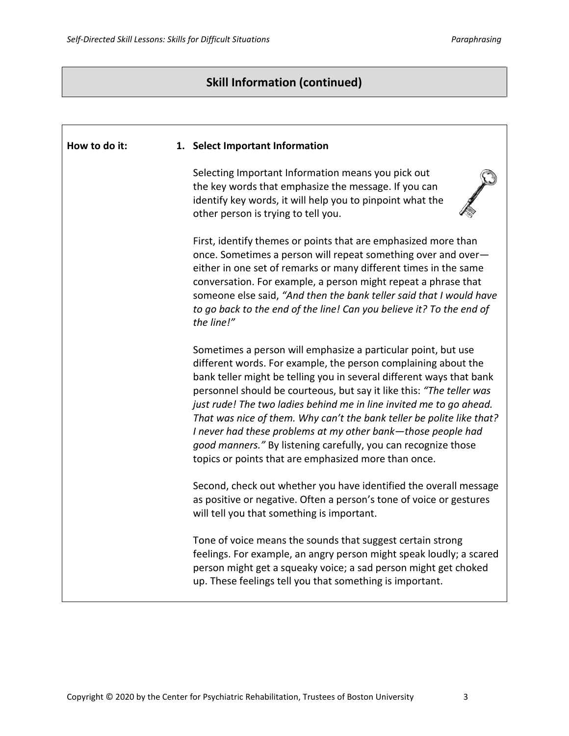Г

٦

#### **Skill Information (continued)**

| How to do it: | 1. Select Important Information                                                                                                                                                                                                                                                                                                                                                                                                                                                                                                                                                                                           |
|---------------|---------------------------------------------------------------------------------------------------------------------------------------------------------------------------------------------------------------------------------------------------------------------------------------------------------------------------------------------------------------------------------------------------------------------------------------------------------------------------------------------------------------------------------------------------------------------------------------------------------------------------|
|               | Selecting Important Information means you pick out<br>the key words that emphasize the message. If you can<br>identify key words, it will help you to pinpoint what the<br>other person is trying to tell you.                                                                                                                                                                                                                                                                                                                                                                                                            |
|               | First, identify themes or points that are emphasized more than<br>once. Sometimes a person will repeat something over and over-<br>either in one set of remarks or many different times in the same<br>conversation. For example, a person might repeat a phrase that<br>someone else said, "And then the bank teller said that I would have<br>to go back to the end of the line! Can you believe it? To the end of<br>the line!"                                                                                                                                                                                        |
|               | Sometimes a person will emphasize a particular point, but use<br>different words. For example, the person complaining about the<br>bank teller might be telling you in several different ways that bank<br>personnel should be courteous, but say it like this: "The teller was<br>just rude! The two ladies behind me in line invited me to go ahead.<br>That was nice of them. Why can't the bank teller be polite like that?<br>I never had these problems at my other bank-those people had<br>good manners." By listening carefully, you can recognize those<br>topics or points that are emphasized more than once. |
|               | Second, check out whether you have identified the overall message<br>as positive or negative. Often a person's tone of voice or gestures<br>will tell you that something is important.                                                                                                                                                                                                                                                                                                                                                                                                                                    |
|               | Tone of voice means the sounds that suggest certain strong<br>feelings. For example, an angry person might speak loudly; a scared<br>person might get a squeaky voice; a sad person might get choked<br>up. These feelings tell you that something is important.                                                                                                                                                                                                                                                                                                                                                          |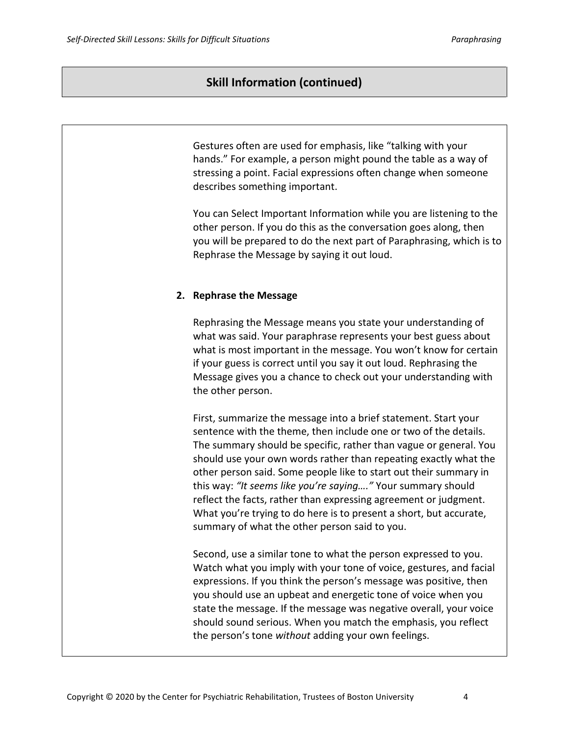#### **Skill Information (continued)**

Gestures often are used for emphasis, like "talking with your hands." For example, a person might pound the table as a way of stressing a point. Facial expressions often change when someone describes something important.

You can Select Important Information while you are listening to the other person. If you do this as the conversation goes along, then you will be prepared to do the next part of Paraphrasing, which is to Rephrase the Message by saying it out loud.

#### **2. Rephrase the Message**

Rephrasing the Message means you state your understanding of what was said. Your paraphrase represents your best guess about what is most important in the message. You won't know for certain if your guess is correct until you say it out loud. Rephrasing the Message gives you a chance to check out your understanding with the other person.

First, summarize the message into a brief statement. Start your sentence with the theme, then include one or two of the details. The summary should be specific, rather than vague or general. You should use your own words rather than repeating exactly what the other person said. Some people like to start out their summary in this way: *"It seems like you're saying…."* Your summary should reflect the facts, rather than expressing agreement or judgment. What you're trying to do here is to present a short, but accurate, summary of what the other person said to you.

Second, use a similar tone to what the person expressed to you. Watch what you imply with your tone of voice, gestures, and facial expressions. If you think the person's message was positive, then you should use an upbeat and energetic tone of voice when you state the message. If the message was negative overall, your voice should sound serious. When you match the emphasis, you reflect the person's tone *without* adding your own feelings.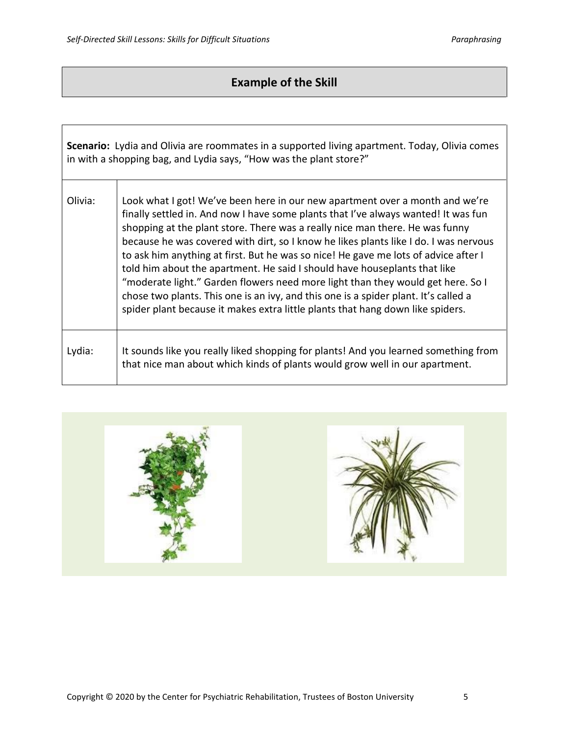#### **Example of the Skill**

|         | <b>Scenario:</b> Lydia and Olivia are roommates in a supported living apartment. Today, Olivia comes<br>in with a shopping bag, and Lydia says, "How was the plant store?"                                                                                                                                                                                                                                                                                                                                                                                                                                                                                                                                                                                                 |
|---------|----------------------------------------------------------------------------------------------------------------------------------------------------------------------------------------------------------------------------------------------------------------------------------------------------------------------------------------------------------------------------------------------------------------------------------------------------------------------------------------------------------------------------------------------------------------------------------------------------------------------------------------------------------------------------------------------------------------------------------------------------------------------------|
| Olivia: | Look what I got! We've been here in our new apartment over a month and we're<br>finally settled in. And now I have some plants that I've always wanted! It was fun<br>shopping at the plant store. There was a really nice man there. He was funny<br>because he was covered with dirt, so I know he likes plants like I do. I was nervous<br>to ask him anything at first. But he was so nice! He gave me lots of advice after I<br>told him about the apartment. He said I should have houseplants that like<br>"moderate light." Garden flowers need more light than they would get here. So I<br>chose two plants. This one is an ivy, and this one is a spider plant. It's called a<br>spider plant because it makes extra little plants that hang down like spiders. |
| Lydia:  | It sounds like you really liked shopping for plants! And you learned something from<br>that nice man about which kinds of plants would grow well in our apartment.                                                                                                                                                                                                                                                                                                                                                                                                                                                                                                                                                                                                         |

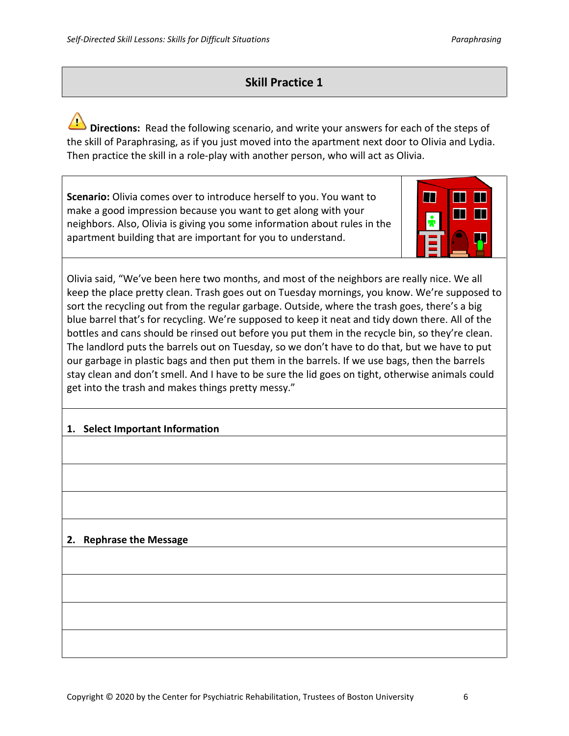#### **Skill Practice 1**

**Directions:** Read the following scenario, and write your answers for each of the steps of the skill of Paraphrasing, as if you just moved into the apartment next door to Olivia and Lydia. Then practice the skill in a role-play with another person, who will act as Olivia.

**Scenario:** Olivia comes over to introduce herself to you. You want to make a good impression because you want to get along with your neighbors. Also, Olivia is giving you some information about rules in the apartment building that are important for you to understand.



Olivia said, "We've been here two months, and most of the neighbors are really nice. We all keep the place pretty clean. Trash goes out on Tuesday mornings, you know. We're supposed to sort the recycling out from the regular garbage. Outside, where the trash goes, there's a big blue barrel that's for recycling. We're supposed to keep it neat and tidy down there. All of the bottles and cans should be rinsed out before you put them in the recycle bin, so they're clean. The landlord puts the barrels out on Tuesday, so we don't have to do that, but we have to put our garbage in plastic bags and then put them in the barrels. If we use bags, then the barrels stay clean and don't smell. And I have to be sure the lid goes on tight, otherwise animals could get into the trash and makes things pretty messy."

#### **1. Select Important Information**

#### **2. Rephrase the Message**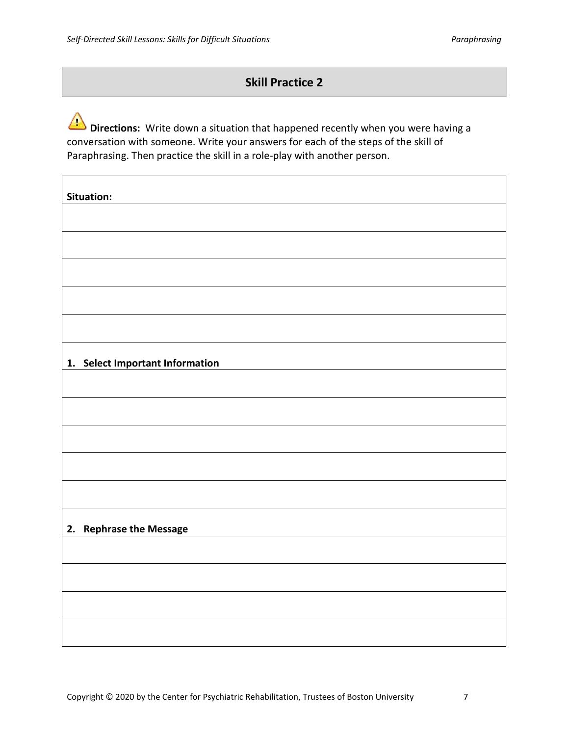#### **Skill Practice 2**

**Directions:** Write down a situation that happened recently when you were having a conversation with someone. Write your answers for each of the steps of the skill of Paraphrasing. Then practice the skill in a role-play with another person.

| Situation:                      |
|---------------------------------|
|                                 |
|                                 |
|                                 |
|                                 |
|                                 |
| 1. Select Important Information |
|                                 |
|                                 |
|                                 |
|                                 |
|                                 |
| 2. Rephrase the Message         |
|                                 |
|                                 |
|                                 |
|                                 |
|                                 |